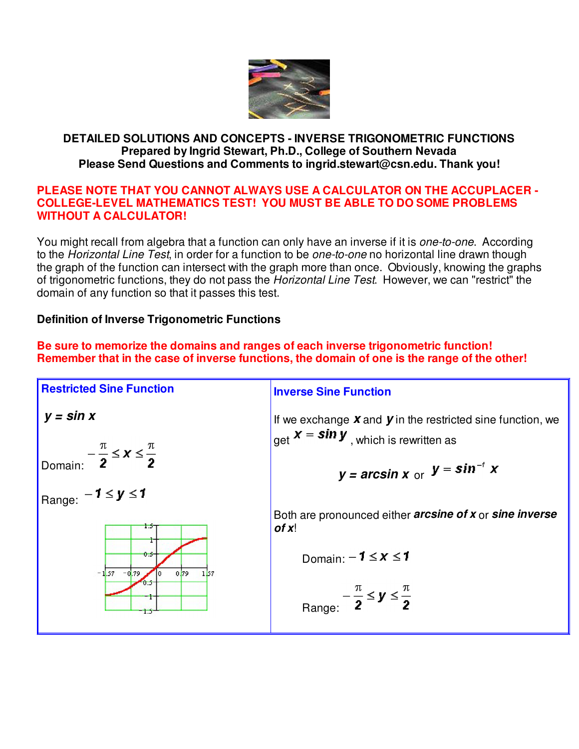

### **DETAILED SOLUTIONS AND CONCEPTS - INVERSE TRIGONOMETRIC FUNCTIONS Prepared by Ingrid Stewart, Ph.D., College of Southern Nevada Please Send Questions and Comments to ingrid.stewart@csn.edu. Thank you!**

### **PLEASE NOTE THAT YOU CANNOT ALWAYS USE A CALCULATOR ON THE ACCUPLACER - COLLEGE-LEVEL MATHEMATICS TEST! YOU MUST BE ABLE TO DO SOME PROBLEMS WITHOUT A CALCULATOR!**

You might recall from algebra that a function can only have an inverse if it is *one-to-one*. According to the Horizontal Line Test, in order for a function to be one-to-one no horizontal line drawn though the graph of the function can intersect with the graph more than once. Obviously, knowing the graphs of trigonometric functions, they do not pass the Horizontal Line Test. However, we can "restrict" the domain of any function so that it passes this test.

# **Definition of Inverse Trigonometric Functions**

**Be sure to memorize the domains and ranges of each inverse trigonometric function! Remember that in the case of inverse functions, the domain of one is the range of the other!**

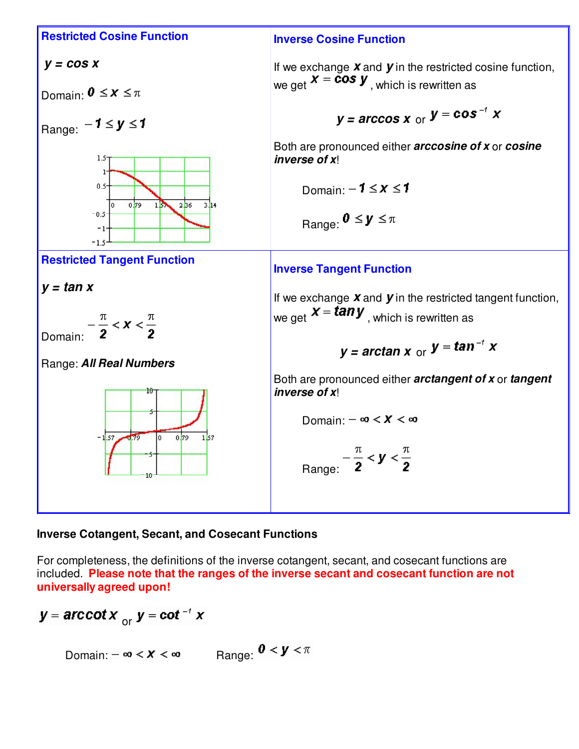

#### **Inverse Cotangent, Secant, and Cosecant Functions**

For completeness, the definitions of the inverse cotangent, secant, and cosecant functions are included. **Please note that the ranges of the inverse secant and cosecant function are not universally agreed upon!**

y = arccot x  $_{\text{or}}$  y = cot<sup>-1</sup> x

Domain:  $-\infty < x < \infty$  Range:  $0 < y < \pi$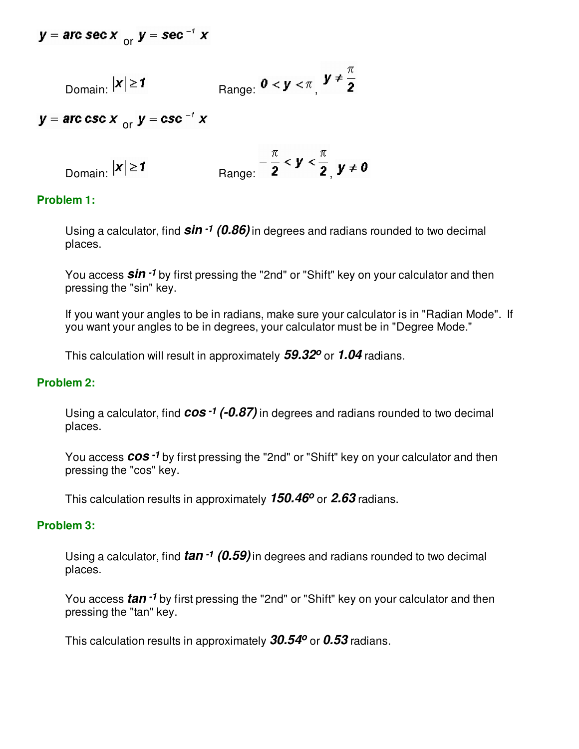$y = arc sec x$  or  $y = sec^{-t} x$ 

Domain: 
$$
|\mathbf{x}| \ge 1
$$
 Range:  $0 < \mathbf{y} < \pi$ ,  $\mathbf{y} \ne \frac{\pi}{2}$ 

 $y =$  arc csc  $x_{\alpha x}$   $y =$  csc<sup>-1</sup>  $x$ 

Domain: 
$$
|\mathbf{x}| \ge \mathbf{1}
$$
 Range:  $-\frac{\pi}{2} < \mathbf{y} < \frac{\pi}{2}$ ,  $\mathbf{y} \ne \mathbf{0}$ 

### **Problem 1:**

Using a calculator, find **sin -1 (0.86)** in degrees and radians rounded to two decimal places.

You access **sin -1** by first pressing the "2nd" or "Shift" key on your calculator and then pressing the "sin" key.

If you want your angles to be in radians, make sure your calculator is in "Radian Mode". If you want your angles to be in degrees, your calculator must be in "Degree Mode."

This calculation will result in approximately **59.32<sup>o</sup>** or **1.04** radians.

#### **Problem 2:**

Using a calculator, find **cos -1 (-0.87)** in degrees and radians rounded to two decimal places.

You access **cos -1** by first pressing the "2nd" or "Shift" key on your calculator and then pressing the "cos" key.

This calculation results in approximately **150.46<sup>o</sup>** or **2.63** radians.

### **Problem 3:**

Using a calculator, find **tan -1 (0.59)**in degrees and radians rounded to two decimal places.

You access **tan -1** by first pressing the "2nd" or "Shift" key on your calculator and then pressing the "tan" key.

This calculation results in approximately **30.54<sup>o</sup>** or **0.53** radians.